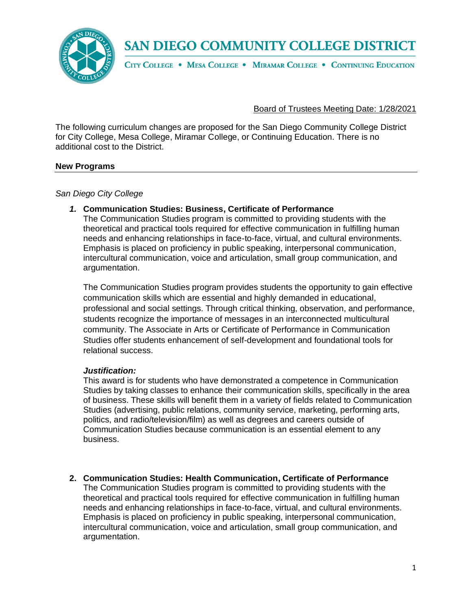

CITY COLLEGE . MESA COLLEGE . MIRAMAR COLLEGE . CONTINUING EDUCATION

## Board of Trustees Meeting Date: 1/28/2021

The following curriculum changes are proposed for the San Diego Community College District for City College, Mesa College, Miramar College, or Continuing Education. There is no additional cost to the District.

### **New Programs**

*San Diego City College*

#### *1.* **Communication Studies: Business, Certificate of Performance**

The Communication Studies program is committed to providing students with the theoretical and practical tools required for effective communication in fulfilling human needs and enhancing relationships in face-to-face, virtual, and cultural environments. Emphasis is placed on proficiency in public speaking, interpersonal communication, intercultural communication, voice and articulation, small group communication, and argumentation.

The Communication Studies program provides students the opportunity to gain effective communication skills which are essential and highly demanded in educational, professional and social settings. Through critical thinking, observation, and performance, students recognize the importance of messages in an interconnected multicultural community. The Associate in Arts or Certificate of Performance in Communication Studies offer students enhancement of self-development and foundational tools for relational success.

#### *Justification:*

This award is for students who have demonstrated a competence in Communication Studies by taking classes to enhance their communication skills, specifically in the area of business. These skills will benefit them in a variety of fields related to Communication Studies (advertising, public relations, community service, marketing, performing arts, politics, and radio/television/film) as well as degrees and careers outside of Communication Studies because communication is an essential element to any business.

**2. Communication Studies: Health Communication, Certificate of Performance**

The Communication Studies program is committed to providing students with the theoretical and practical tools required for effective communication in fulfilling human needs and enhancing relationships in face-to-face, virtual, and cultural environments. Emphasis is placed on proficiency in public speaking, interpersonal communication, intercultural communication, voice and articulation, small group communication, and argumentation.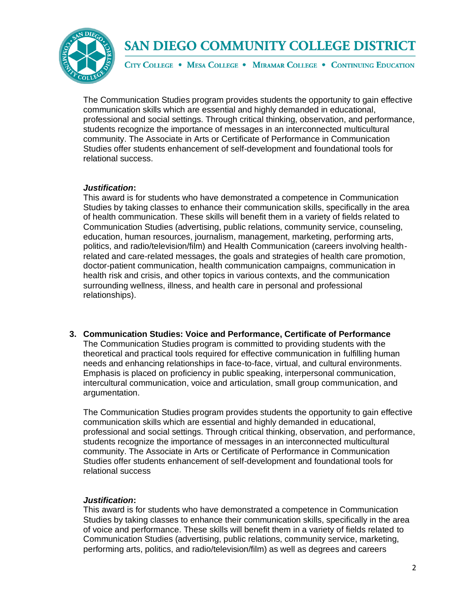

CITY COLLEGE . MESA COLLEGE . MIRAMAR COLLEGE . CONTINUING EDUCATION

The Communication Studies program provides students the opportunity to gain effective communication skills which are essential and highly demanded in educational, professional and social settings. Through critical thinking, observation, and performance, students recognize the importance of messages in an interconnected multicultural community. The Associate in Arts or Certificate of Performance in Communication Studies offer students enhancement of self-development and foundational tools for relational success.

#### *Justification***:**

This award is for students who have demonstrated a competence in Communication Studies by taking classes to enhance their communication skills, specifically in the area of health communication. These skills will benefit them in a variety of fields related to Communication Studies (advertising, public relations, community service, counseling, education, human resources, journalism, management, marketing, performing arts, politics, and radio/television/film) and Health Communication (careers involving healthrelated and care-related messages, the goals and strategies of health care promotion, doctor-patient communication, health communication campaigns, communication in health risk and crisis, and other topics in various contexts, and the communication surrounding wellness, illness, and health care in personal and professional relationships).

**3. Communication Studies: Voice and Performance, Certificate of Performance** The Communication Studies program is committed to providing students with the theoretical and practical tools required for effective communication in fulfilling human needs and enhancing relationships in face-to-face, virtual, and cultural environments. Emphasis is placed on proficiency in public speaking, interpersonal communication, intercultural communication, voice and articulation, small group communication, and argumentation.

The Communication Studies program provides students the opportunity to gain effective communication skills which are essential and highly demanded in educational, professional and social settings. Through critical thinking, observation, and performance, students recognize the importance of messages in an interconnected multicultural community. The Associate in Arts or Certificate of Performance in Communication Studies offer students enhancement of self-development and foundational tools for relational success

### *Justification***:**

This award is for students who have demonstrated a competence in Communication Studies by taking classes to enhance their communication skills, specifically in the area of voice and performance. These skills will benefit them in a variety of fields related to Communication Studies (advertising, public relations, community service, marketing, performing arts, politics, and radio/television/film) as well as degrees and careers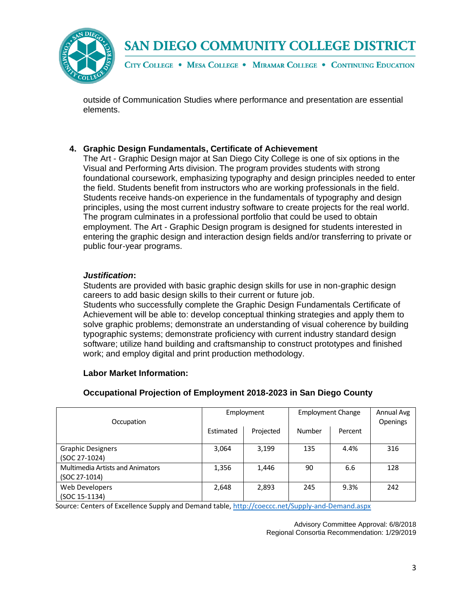

CITY COLLEGE . MESA COLLEGE . MIRAMAR COLLEGE . CONTINUING EDUCATION

outside of Communication Studies where performance and presentation are essential elements.

## **4. Graphic Design Fundamentals, Certificate of Achievement**

The Art - Graphic Design major at San Diego City College is one of six options in the Visual and Performing Arts division. The program provides students with strong foundational coursework, emphasizing typography and design principles needed to enter the field. Students benefit from instructors who are working professionals in the field. Students receive hands-on experience in the fundamentals of typography and design principles, using the most current industry software to create projects for the real world. The program culminates in a professional portfolio that could be used to obtain employment. The Art - Graphic Design program is designed for students interested in entering the graphic design and interaction design fields and/or transferring to private or public four-year programs.

### *Justification***:**

Students are provided with basic graphic design skills for use in non-graphic design careers to add basic design skills to their current or future job.

Students who successfully complete the Graphic Design Fundamentals Certificate of Achievement will be able to: develop conceptual thinking strategies and apply them to solve graphic problems; demonstrate an understanding of visual coherence by building typographic systems; demonstrate proficiency with current industry standard design software; utilize hand building and craftsmanship to construct prototypes and finished work; and employ digital and print production methodology.

### **Labor Market Information:**

### **Occupational Projection of Employment 2018-2023 in San Diego County**

| Occupation                              | Employment |           | <b>Employment Change</b> |         | Annual Avg<br>Openings |
|-----------------------------------------|------------|-----------|--------------------------|---------|------------------------|
|                                         | Estimated  | Projected | Number                   | Percent |                        |
| <b>Graphic Designers</b>                | 3,064      | 3,199     | 135                      | 4.4%    | 316                    |
| (SOC 27-1024)                           |            |           |                          |         |                        |
| <b>Multimedia Artists and Animators</b> | 1,356      | 1,446     | 90                       | 6.6     | 128                    |
| (SOC 27-1014)                           |            |           |                          |         |                        |
| Web Developers                          | 2,648      | 2,893     | 245                      | 9.3%    | 242                    |
| (SOC 15-1134)                           |            |           |                          |         |                        |

Source: Centers of Excellence Supply and Demand table[, http://coeccc.net/Supply-and-Demand.aspx](http://coeccc.net/Supply-and-Demand.aspx)

Advisory Committee Approval: 6/8/2018 Regional Consortia Recommendation: 1/29/2019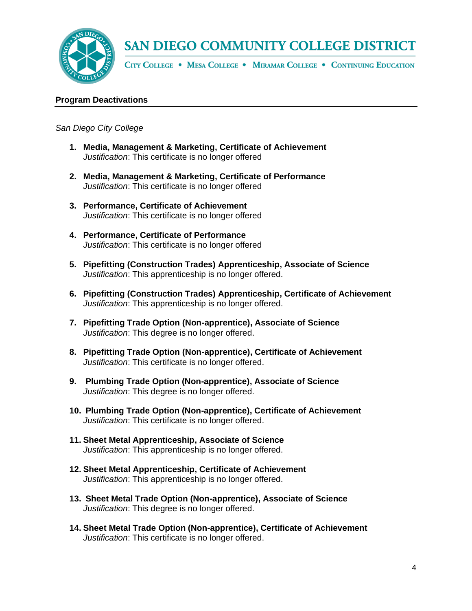

CITY COLLEGE . MESA COLLEGE . MIRAMAR COLLEGE . CONTINUING EDUCATION

#### **Program Deactivations**

*San Diego City College*

- **1. Media, Management & Marketing, Certificate of Achievement**  *Justification*: This certificate is no longer offered
- **2. Media, Management & Marketing, Certificate of Performance**  *Justification*: This certificate is no longer offered
- **3. Performance, Certificate of Achievement**  *Justification*: This certificate is no longer offered
- **4. Performance, Certificate of Performance**  *Justification*: This certificate is no longer offered
- **5. Pipefitting (Construction Trades) Apprenticeship, Associate of Science**  *Justification*: This apprenticeship is no longer offered.
- **6. Pipefitting (Construction Trades) Apprenticeship, Certificate of Achievement**  *Justification*: This apprenticeship is no longer offered.
- **7. Pipefitting Trade Option (Non-apprentice), Associate of Science**  *Justification*: This degree is no longer offered.
- **8. Pipefitting Trade Option (Non-apprentice), Certificate of Achievement**  *Justification*: This certificate is no longer offered.
- **9. Plumbing Trade Option (Non-apprentice), Associate of Science**  *Justification*: This degree is no longer offered.
- **10. Plumbing Trade Option (Non-apprentice), Certificate of Achievement**  *Justification*: This certificate is no longer offered.
- **11. Sheet Metal Apprenticeship, Associate of Science**  *Justification*: This apprenticeship is no longer offered.
- **12. Sheet Metal Apprenticeship, Certificate of Achievement**  *Justification*: This apprenticeship is no longer offered.
- **13. Sheet Metal Trade Option (Non-apprentice), Associate of Science**  *Justification*: This degree is no longer offered.
- **14. Sheet Metal Trade Option (Non-apprentice), Certificate of Achievement**  *Justification*: This certificate is no longer offered.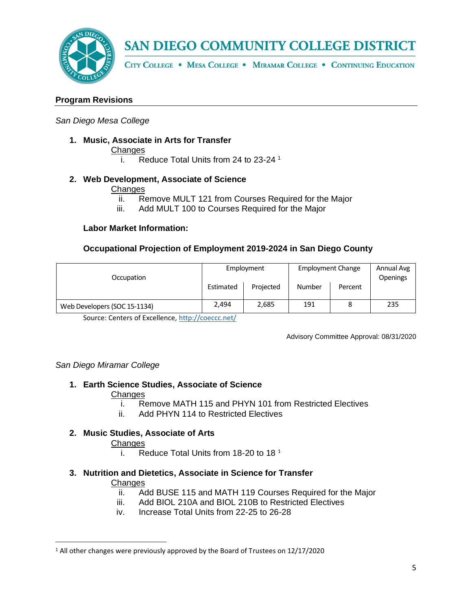

CITY COLLEGE . MESA COLLEGE . MIRAMAR COLLEGE . CONTINUING EDUCATION

### **Program Revisions**

#### *San Diego Mesa College*

**1. Music, Associate in Arts for Transfer**

**Changes** 

<span id="page-4-0"></span>i. Reduce Total Units from 24 to 23-24 <sup>1</sup>

#### **2. Web Development, Associate of Science**

#### **Changes**

- ii. Remove MULT 121 from Courses Required for the Major
- iii. Add MULT 100 to Courses Required for the Major

#### **Labor Market Information:**

### **Occupational Projection of Employment 2019-2024 in San Diego County**

| Occupation                   | Employment |           | <b>Employment Change</b> |         | Annual Avg<br><b>Openings</b> |
|------------------------------|------------|-----------|--------------------------|---------|-------------------------------|
|                              | Estimated  | Projected | Number                   | Percent |                               |
| Web Developers (SOC 15-1134) | 2.494      | 2,685     | 191                      |         | 235                           |

Source: Centers of Excellence,<http://coeccc.net/>

Advisory Committee Approval: 08/31/2020

#### *San Diego Miramar College*

**1. Earth Science Studies, Associate of Science** 

#### Changes

- i. Remove MATH 115 and PHYN 101 from Restricted Electives
- ii. Add PHYN 114 to Restricted Electives

### **2. Music Studies, Associate of Arts**

Changes

- i. Reduce Total Units from [1](#page-4-0)8-20 to 18 $<sup>1</sup>$ </sup>
- **3. Nutrition and Dietetics, Associate in Science for Transfer**

#### **Changes**

- ii. Add BUSE 115 and MATH 119 Courses Required for the Major
- iii. Add BIOL 210A and BIOL 210B to Restricted Electives
- iv. Increase Total Units from 22-25 to 26-28

<sup>&</sup>lt;sup>1</sup> All other changes were previously approved by the Board of Trustees on 12/17/2020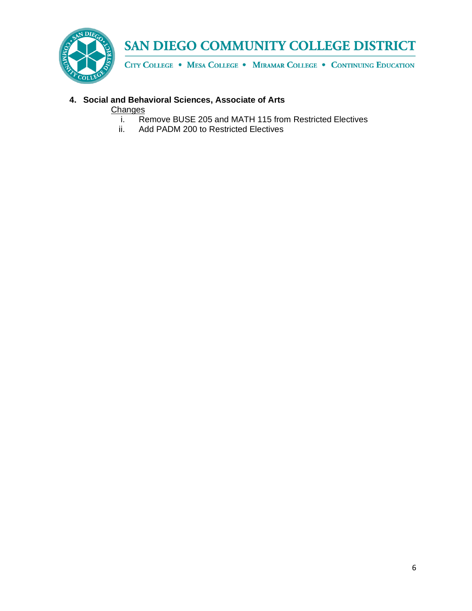

CITY COLLEGE . MESA COLLEGE . MIRAMAR COLLEGE . CONTINUING EDUCATION

## **4. Social and Behavioral Sciences, Associate of Arts**

**Changes** 

- i. Remove BUSE 205 and MATH 115 from Restricted Electives<br>ii. Add PADM 200 to Restricted Electives
- Add PADM 200 to Restricted Electives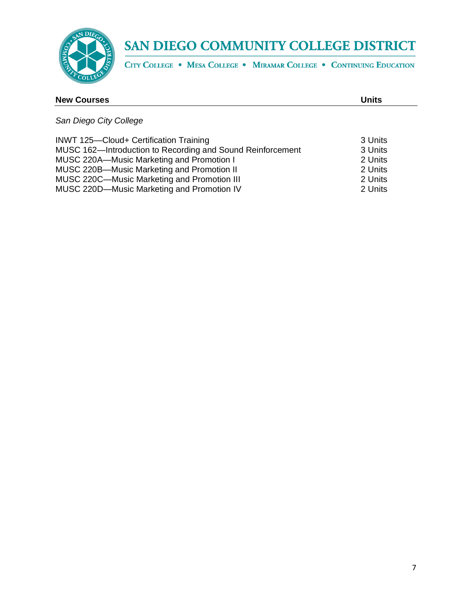

CITY COLLEGE . MESA COLLEGE . MIRAMAR COLLEGE . CONTINUING EDUCATION

| <b>New Courses</b>                                                                                                                                                                                                                                                                                  | <b>Units</b>                                                   |
|-----------------------------------------------------------------------------------------------------------------------------------------------------------------------------------------------------------------------------------------------------------------------------------------------------|----------------------------------------------------------------|
| San Diego City College                                                                                                                                                                                                                                                                              |                                                                |
| <b>INWT 125-Cloud+ Certification Training</b><br>MUSC 162-Introduction to Recording and Sound Reinforcement<br>MUSC 220A-Music Marketing and Promotion I<br>MUSC 220B-Music Marketing and Promotion II<br>MUSC 220C-Music Marketing and Promotion III<br>MUSC 220D-Music Marketing and Promotion IV | 3 Units<br>3 Units<br>2 Units<br>2 Units<br>2 Units<br>2 Units |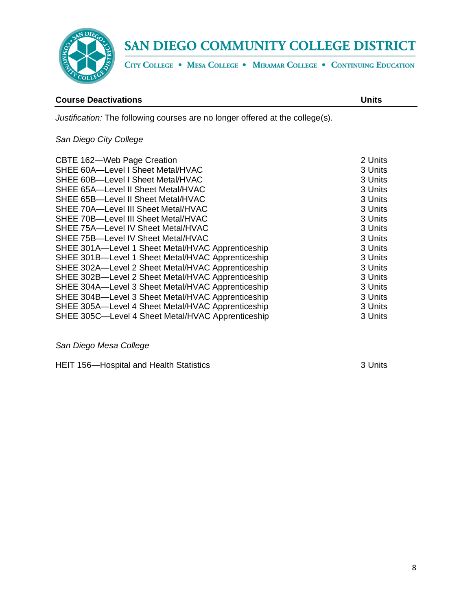

CITY COLLEGE . MESA COLLEGE . MIRAMAR COLLEGE . CONTINUING EDUCATION

#### **Course Deactivations Units**

*Justification:* The following courses are no longer offered at the college(s).

## *San Diego City College*

| CBTE 162-Web Page Creation                        | 2 Units |
|---------------------------------------------------|---------|
| SHEE 60A-Level I Sheet Metal/HVAC                 | 3 Units |
| SHEE 60B-Level I Sheet Metal/HVAC                 | 3 Units |
| SHEE 65A-Level II Sheet Metal/HVAC                | 3 Units |
| SHEE 65B-Level II Sheet Metal/HVAC                | 3 Units |
| SHEE 70A-Level III Sheet Metal/HVAC               | 3 Units |
| SHEE 70B-Level III Sheet Metal/HVAC               | 3 Units |
| SHEE 75A-Level IV Sheet Metal/HVAC                | 3 Units |
| SHEE 75B-Level IV Sheet Metal/HVAC                | 3 Units |
| SHEE 301A-Level 1 Sheet Metal/HVAC Apprenticeship | 3 Units |
| SHEE 301B-Level 1 Sheet Metal/HVAC Apprenticeship | 3 Units |
| SHEE 302A-Level 2 Sheet Metal/HVAC Apprenticeship | 3 Units |
| SHEE 302B-Level 2 Sheet Metal/HVAC Apprenticeship | 3 Units |
| SHEE 304A-Level 3 Sheet Metal/HVAC Apprenticeship | 3 Units |
| SHEE 304B-Level 3 Sheet Metal/HVAC Apprenticeship | 3 Units |
| SHEE 305A-Level 4 Sheet Metal/HVAC Apprenticeship | 3 Units |
| SHEE 305C—Level 4 Sheet Metal/HVAC Apprenticeship | 3 Units |

*San Diego Mesa College*

HEIT 156—Hospital and Health Statistics **3 Units** 3 Units